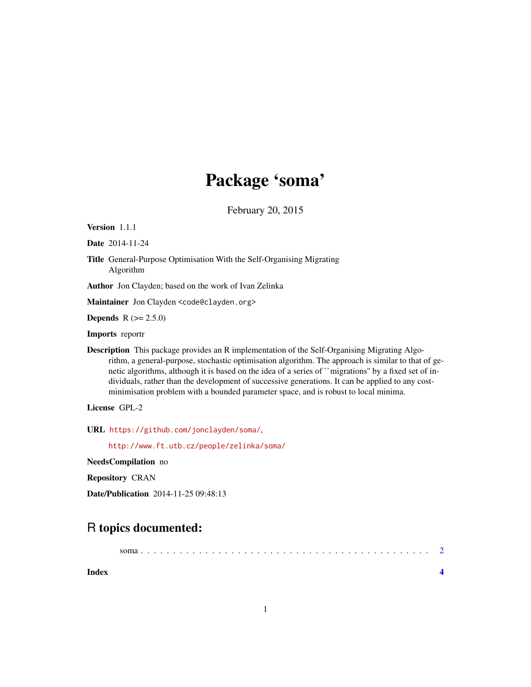# Package 'soma'

February 20, 2015

<span id="page-0-0"></span>Version 1.1.1

Date 2014-11-24

Title General-Purpose Optimisation With the Self-Organising Migrating Algorithm

Author Jon Clayden; based on the work of Ivan Zelinka

Maintainer Jon Clayden <code@clayden.org>

**Depends**  $R (= 2.5.0)$ 

Imports reportr

Description This package provides an R implementation of the Self-Organising Migrating Algorithm, a general-purpose, stochastic optimisation algorithm. The approach is similar to that of genetic algorithms, although it is based on the idea of a series of ``migrations'' by a fixed set of individuals, rather than the development of successive generations. It can be applied to any costminimisation problem with a bounded parameter space, and is robust to local minima.

License GPL-2

URL <https://github.com/jonclayden/soma/>,

<http://www.ft.utb.cz/people/zelinka/soma/>

NeedsCompilation no

Repository CRAN

Date/Publication 2014-11-25 09:48:13

## R topics documented:

| Index |  |  |  |  |  |  |  |  |  |  |  |  |  |  |  |  |  |  |  |
|-------|--|--|--|--|--|--|--|--|--|--|--|--|--|--|--|--|--|--|--|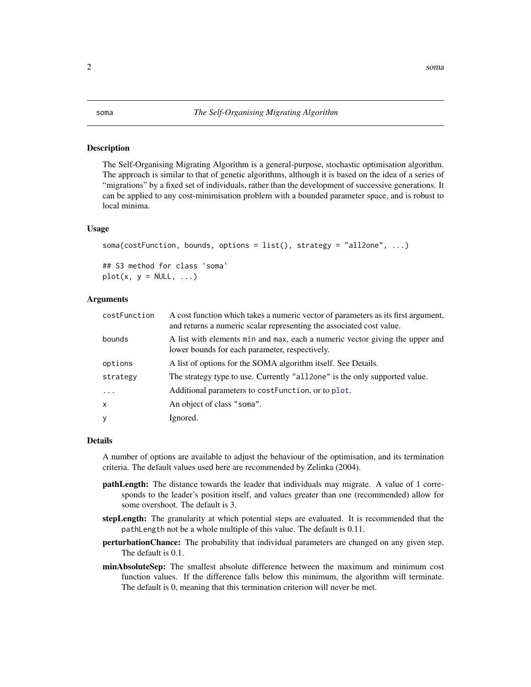#### <span id="page-1-0"></span>Description

The Self-Organising Migrating Algorithm is a general-purpose, stochastic optimisation algorithm. The approach is similar to that of genetic algorithms, although it is based on the idea of a series of "migrations" by a fixed set of individuals, rather than the development of successive generations. It can be applied to any cost-minimisation problem with a bounded parameter space, and is robust to local minima.

#### Usage

```
soma(costFunction, bounds, options = list(), strategy = "all2one", ...)
## S3 method for class 'soma'
```
 $plot(x, y = NULL, ...)$ 

### Arguments

| costFunction      | A cost function which takes a numeric vector of parameters as its first argument,<br>and returns a numeric scalar representing the associated cost value. |
|-------------------|-----------------------------------------------------------------------------------------------------------------------------------------------------------|
| bounds            | A list with elements min and max, each a numeric vector giving the upper and<br>lower bounds for each parameter, respectively.                            |
| options           | A list of options for the SOMA algorithm itself. See Details.                                                                                             |
| strategy          | The strategy type to use. Currently "all 2 one" is the only supported value.                                                                              |
| $\cdot\cdot\cdot$ | Additional parameters to costFunction, or to plot.                                                                                                        |
| x                 | An object of class "soma".                                                                                                                                |
| y                 | Ignored.                                                                                                                                                  |

#### Details

A number of options are available to adjust the behaviour of the optimisation, and its termination criteria. The default values used here are recommended by Zelinka (2004).

- **pathLength:** The distance towards the leader that individuals may migrate. A value of 1 corresponds to the leader's position itself, and values greater than one (recommended) allow for some overshoot. The default is 3.
- stepLength: The granularity at which potential steps are evaluated. It is recommended that the pathLength not be a whole multiple of this value. The default is 0.11.
- perturbationChance: The probability that individual parameters are changed on any given step. The default is 0.1.
- minAbsoluteSep: The smallest absolute difference between the maximum and minimum cost function values. If the difference falls below this minimum, the algorithm will terminate. The default is 0, meaning that this termination criterion will never be met.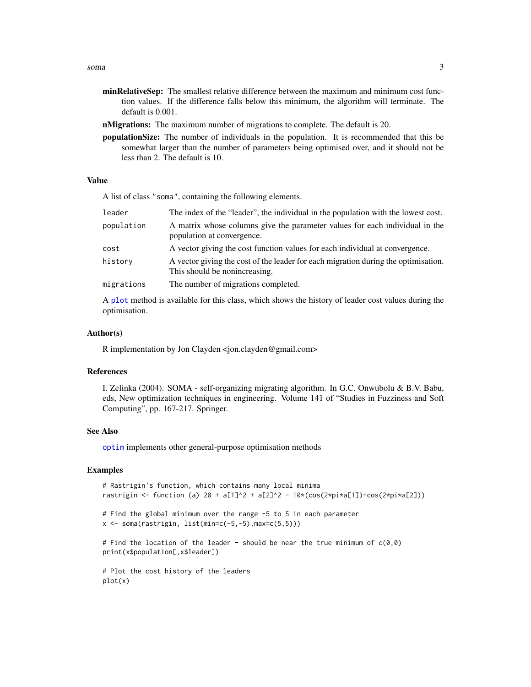- <span id="page-2-0"></span>minRelativeSep: The smallest relative difference between the maximum and minimum cost function values. If the difference falls below this minimum, the algorithm will terminate. The default is 0.001.
- nMigrations: The maximum number of migrations to complete. The default is 20.
- populationSize: The number of individuals in the population. It is recommended that this be somewhat larger than the number of parameters being optimised over, and it should not be less than 2. The default is 10.

#### Value

A list of class "soma", containing the following elements.

| leader     | The index of the "leader", the individual in the population with the lowest cost.                                   |
|------------|---------------------------------------------------------------------------------------------------------------------|
| population | A matrix whose columns give the parameter values for each individual in the<br>population at convergence.           |
| cost       | A vector giving the cost function values for each individual at convergence.                                        |
| history    | A vector giving the cost of the leader for each migration during the optimisation.<br>This should be nonincreasing. |
| migrations | The number of migrations completed.                                                                                 |
|            |                                                                                                                     |

A [plot](#page-0-0) method is available for this class, which shows the history of leader cost values during the optimisation.

#### Author(s)

R implementation by Jon Clayden <jon.clayden@gmail.com>

### References

I. Zelinka (2004). SOMA - self-organizing migrating algorithm. In G.C. Onwubolu & B.V. Babu, eds, New optimization techniques in engineering. Volume 141 of "Studies in Fuzziness and Soft Computing", pp. 167-217. Springer.

#### See Also

[optim](#page-0-0) implements other general-purpose optimisation methods

#### Examples

```
# Rastrigin's function, which contains many local minima
rastrigin <- function (a) 20 + a[1]^2 + a[2]^2 - 10*(cos(2*pi*a[1])+cos(2*pi*a[2]))
# Find the global minimum over the range -5 to 5 in each parameter
x \leq soma(rastrigin, list(min=c(-5,-5), max=c(5,5)))
# Find the location of the leader - should be near the true minimum of c(0,0)print(x$population[,x$leader])
# Plot the cost history of the leaders
plot(x)
```